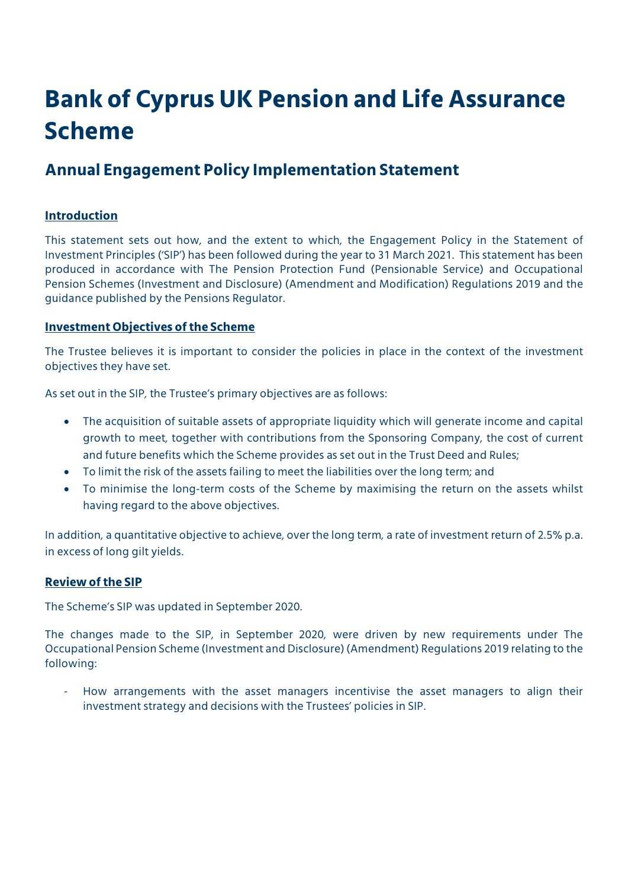# **Bank of Cyprus UK Pension and Life Assurance Scheme**

# **Annual Engagement Policy Implementation Statement**

# **Introduction**

This statement sets out how, and the extent to which, the Engagement Policy in the Statement of Investment Principles ('SIP') has been followed during the year to 31 March 2021. This statement has been produced in accordance with The Pension Protection Fund (Pensionable Service) and Occupational Pension Schemes (Investment and Disclosure) (Amendment and Modification) Regulations 2019 and the guidance published by the Pensions Regulator.

## **Investment Objectives of the Scheme**

The Trustee believes it is important to consider the policies in place in the context of the investment objectives they have set.

As set out in the SIP, the Trustee's primary objectives are as follows:

- The acquisition of suitable assets of appropriate liquidity which will generate income and capital growth to meet, together with contributions from the Sponsoring Company, the cost of current and future benefits which the Scheme provides as set out in the Trust Deed and Rules;
- To limit the risk of the assets failing to meet the liabilities over the long term; and
- To minimise the long-term costs of the Scheme by maximising the return on the assets whilst having regard to the above objectives.

In addition, a quantitative objective to achieve, over the long term, a rate of investment return of 2.5% p.a. in excess of long gilt yields.

## **Review of the SIP**

The Scheme's SIP was updated in September 2020.

The changes made to the SIP, in September 2020, were driven by new requirements under The Occupational Pension Scheme (Investment and Disclosure) (Amendment) Regulations 2019 relating to the following:

How arrangements with the asset managers incentivise the asset managers to align their investment strategy and decisions with the Trustees' policies in SIP.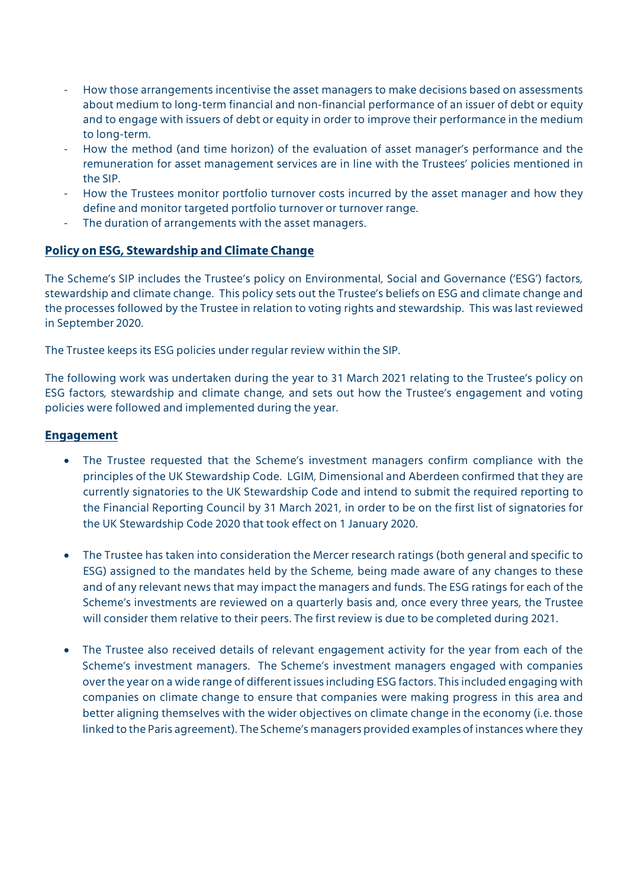- How those arrangements incentivise the asset managers to make decisions based on assessments about medium to long-term financial and non-financial performance of an issuer of debt or equity and to engage with issuers of debt or equity in order to improve their performance in the medium to long-term.
- How the method (and time horizon) of the evaluation of asset manager's performance and the remuneration for asset management services are in line with the Trustees' policies mentioned in the SIP.
- How the Trustees monitor portfolio turnover costs incurred by the asset manager and how they define and monitor targeted portfolio turnover or turnover range.
- The duration of arrangements with the asset managers.

## **Policy on ESG, Stewardship and Climate Change**

The Scheme's SIP includes the Trustee's policy on Environmental, Social and Governance ('ESG') factors, stewardship and climate change. This policy sets out the Trustee's beliefs on ESG and climate change and the processes followed by the Trustee in relation to voting rights and stewardship. This was last reviewed in September 2020.

The Trustee keeps its ESG policies under regular review within the SIP.

The following work was undertaken during the year to 31 March 2021 relating to the Trustee's policy on ESG factors, stewardship and climate change, and sets out how the Trustee's engagement and voting policies were followed and implemented during the year.

#### **Engagement**

- The Trustee requested that the Scheme's investment managers confirm compliance with the principles of the UK Stewardship Code. LGIM, Dimensional and Aberdeen confirmed that they are currently signatories to the UK Stewardship Code and intend to submit the required reporting to the Financial Reporting Council by 31 March 2021, in order to be on the first list of signatories for the UK Stewardship Code 2020 that took effect on 1 January 2020.
- The Trustee has taken into consideration the Mercer research ratings (both general and specific to ESG) assigned to the mandates held by the Scheme, being made aware of any changes to these and of any relevant news that may impact the managers and funds. The ESG ratings for each of the Scheme's investments are reviewed on a quarterly basis and, once every three years, the Trustee will consider them relative to their peers. The first review is due to be completed during 2021.
- The Trustee also received details of relevant engagement activity for the year from each of the Scheme's investment managers. The Scheme's investment managers engaged with companies over the year on a wide range of different issues including ESG factors. This included engaging with companies on climate change to ensure that companies were making progress in this area and better aligning themselves with the wider objectives on climate change in the economy (i.e. those linked to the Paris agreement). The Scheme's managers provided examples of instances where they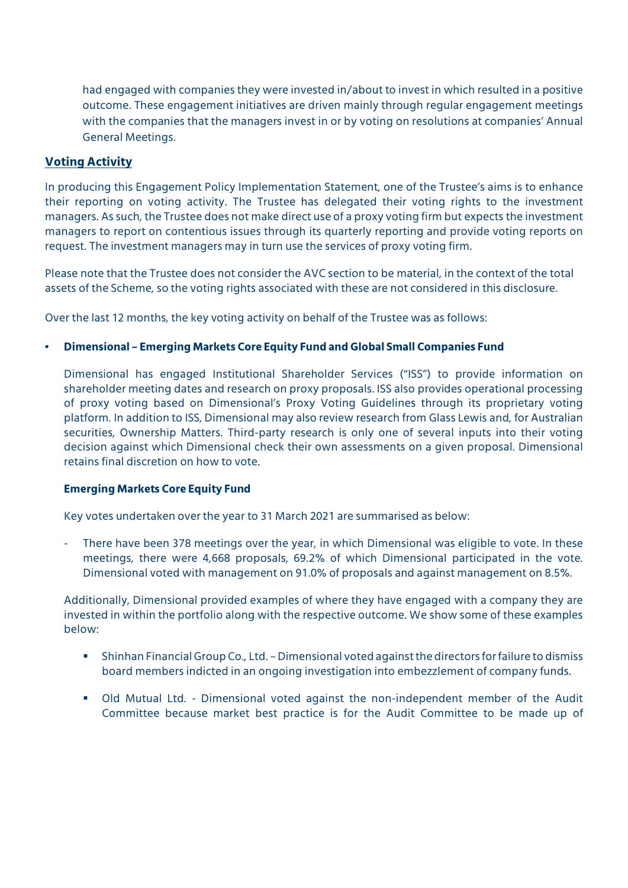had engaged with companies they were invested in/about to invest in which resulted in a positive outcome. These engagement initiatives are driven mainly through regular engagement meetings with the companies that the managers invest in or by voting on resolutions at companies' Annual General Meetings.

#### **Voting Activity**

In producing this Engagement Policy Implementation Statement, one of the Trustee's aims is to enhance their reporting on voting activity. The Trustee has delegated their voting rights to the investment managers. As such, the Trustee does not make direct use of a proxy voting firm but expects the investment managers to report on contentious issues through its quarterly reporting and provide voting reports on request. The investment managers may in turn use the services of proxy voting firm.

Please note that the Trustee does not consider the AVC section to be material, in the context of the total assets of the Scheme, so the voting rights associated with these are not considered in this disclosure.

Over the last 12 months, the key voting activity on behalf of the Trustee was as follows:

#### • **Dimensional – Emerging Markets Core Equity Fund and Global Small Companies Fund**

Dimensional has engaged Institutional Shareholder Services ("ISS") to provide information on shareholder meeting dates and research on proxy proposals. ISS also provides operational processing of proxy voting based on Dimensional's Proxy Voting Guidelines through its proprietary voting platform. In addition to ISS, Dimensional may also review research from Glass Lewis and, for Australian securities, Ownership Matters. Third-party research is only one of several inputs into their voting decision against which Dimensional check their own assessments on a given proposal. Dimensional retains final discretion on how to vote.

#### **Emerging Markets Core Equity Fund**

Key votes undertaken over the year to 31 March 2021 are summarised as below:

There have been 378 meetings over the year, in which Dimensional was eligible to vote. In these meetings, there were 4,668 proposals, 69.2% of which Dimensional participated in the vote. Dimensional voted with management on 91.0% of proposals and against management on 8.5%.

Additionally, Dimensional provided examples of where they have engaged with a company they are invested in within the portfolio along with the respective outcome. We show some of these examples below:

- Shinhan Financial Group Co., Ltd. Dimensional voted against the directors for failure to dismiss board members indicted in an ongoing investigation into embezzlement of company funds.
- Old Mutual Ltd. Dimensional voted against the non-independent member of the Audit Committee because market best practice is for the Audit Committee to be made up of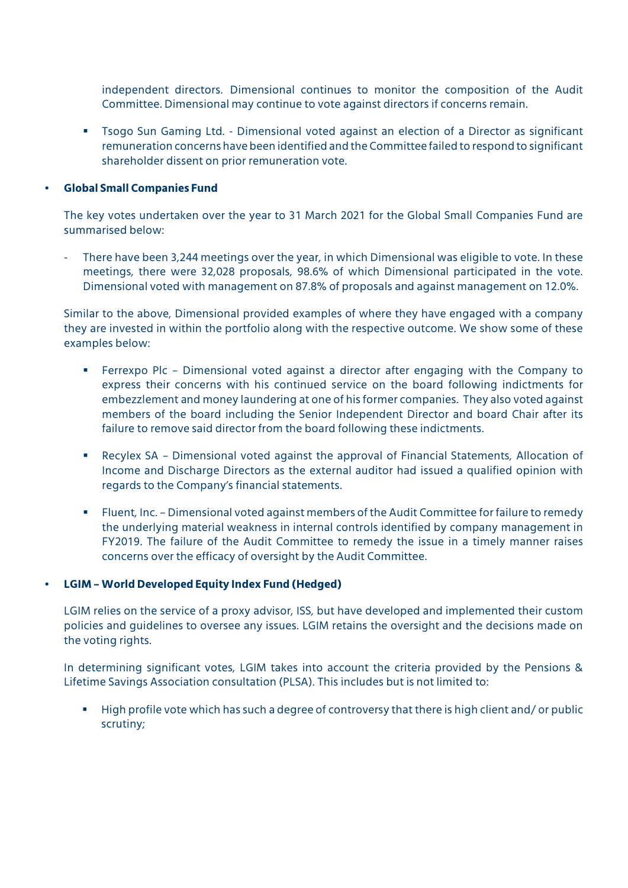independent directors. Dimensional continues to monitor the composition of the Audit Committee. Dimensional may continue to vote against directors if concerns remain.

 Tsogo Sun Gaming Ltd. - Dimensional voted against an election of a Director as significant remuneration concerns have been identified and the Committee failed to respond to significant shareholder dissent on prior remuneration vote.

#### • **Global Small Companies Fund**

The key votes undertaken over the year to 31 March 2021 for the Global Small Companies Fund are summarised below:

There have been 3,244 meetings over the year, in which Dimensional was eligible to vote. In these meetings, there were 32,028 proposals, 98.6% of which Dimensional participated in the vote. Dimensional voted with management on 87.8% of proposals and against management on 12.0%.

Similar to the above, Dimensional provided examples of where they have engaged with a company they are invested in within the portfolio along with the respective outcome. We show some of these examples below:

- Ferrexpo Plc Dimensional voted against a director after engaging with the Company to express their concerns with his continued service on the board following indictments for embezzlement and money laundering at one of his former companies. They also voted against members of the board including the Senior Independent Director and board Chair after its failure to remove said director from the board following these indictments.
- Recylex SA Dimensional voted against the approval of Financial Statements, Allocation of Income and Discharge Directors as the external auditor had issued a qualified opinion with regards to the Company's financial statements.
- Fluent, Inc. Dimensional voted against members of the Audit Committee for failure to remedy the underlying material weakness in internal controls identified by company management in FY2019. The failure of the Audit Committee to remedy the issue in a timely manner raises concerns over the efficacy of oversight by the Audit Committee.

#### • **LGIM – World Developed Equity Index Fund (Hedged)**

LGIM relies on the service of a proxy advisor, ISS, but have developed and implemented their custom policies and guidelines to oversee any issues. LGIM retains the oversight and the decisions made on the voting rights.

In determining significant votes, LGIM takes into account the criteria provided by the Pensions & Lifetime Savings Association consultation (PLSA). This includes but is not limited to:

 High profile vote which has such a degree of controversy that there is high client and/ or public scrutiny;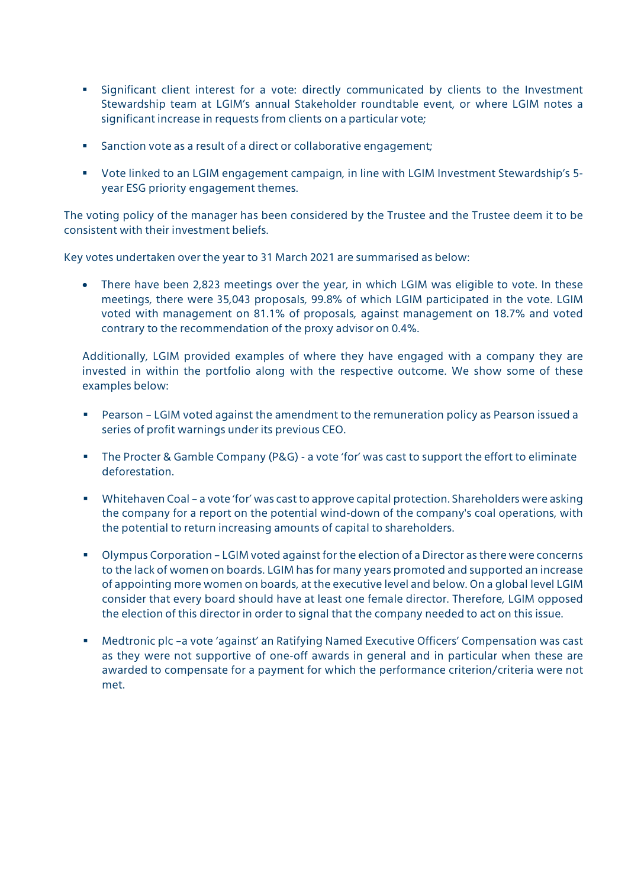- Significant client interest for a vote: directly communicated by clients to the Investment Stewardship team at LGIM's annual Stakeholder roundtable event, or where LGIM notes a significant increase in requests from clients on a particular vote;
- Sanction vote as a result of a direct or collaborative engagement;
- Vote linked to an LGIM engagement campaign, in line with LGIM Investment Stewardship's 5 year ESG priority engagement themes.

The voting policy of the manager has been considered by the Trustee and the Trustee deem it to be consistent with their investment beliefs.

Key votes undertaken over the year to 31 March 2021 are summarised as below:

 There have been 2,823 meetings over the year, in which LGIM was eligible to vote. In these meetings, there were 35,043 proposals, 99.8% of which LGIM participated in the vote. LGIM voted with management on 81.1% of proposals, against management on 18.7% and voted contrary to the recommendation of the proxy advisor on 0.4%.

Additionally, LGIM provided examples of where they have engaged with a company they are invested in within the portfolio along with the respective outcome. We show some of these examples below:

- Pearson LGIM voted against the amendment to the remuneration policy as Pearson issued a series of profit warnings under its previous CEO.
- The Procter & Gamble Company (P&G) a vote 'for' was cast to support the effort to eliminate deforestation.
- Whitehaven Coal a vote 'for' was cast to approve capital protection. Shareholders were asking the company for a report on the potential wind-down of the company's coal operations, with the potential to return increasing amounts of capital to shareholders.
- Olympus Corporation LGIM voted against for the election of a Director as there were concerns to the lack of women on boards. LGIM has for many years promoted and supported an increase of appointing more women on boards, at the executive level and below. On a global level LGIM consider that every board should have at least one female director. Therefore, LGIM opposed the election of this director in order to signal that the company needed to act on this issue.
- Medtronic plc –a vote 'against' an Ratifying Named Executive Officers' Compensation was cast as they were not supportive of one-off awards in general and in particular when these are awarded to compensate for a payment for which the performance criterion/criteria were not met.